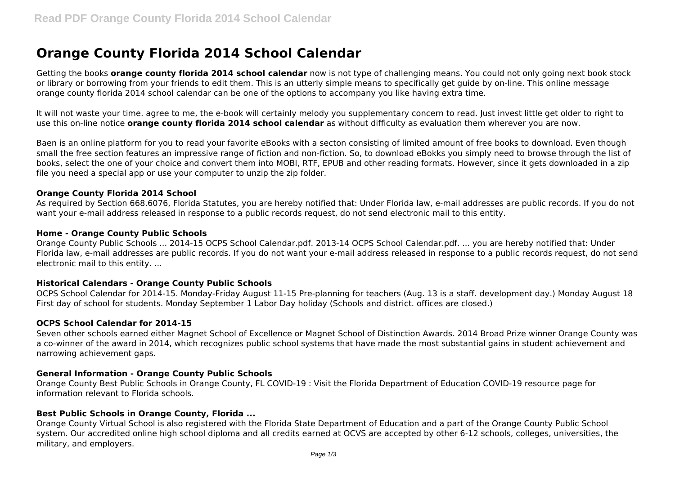# **Orange County Florida 2014 School Calendar**

Getting the books **orange county florida 2014 school calendar** now is not type of challenging means. You could not only going next book stock or library or borrowing from your friends to edit them. This is an utterly simple means to specifically get guide by on-line. This online message orange county florida 2014 school calendar can be one of the options to accompany you like having extra time.

It will not waste your time. agree to me, the e-book will certainly melody you supplementary concern to read. Just invest little get older to right to use this on-line notice **orange county florida 2014 school calendar** as without difficulty as evaluation them wherever you are now.

Baen is an online platform for you to read your favorite eBooks with a secton consisting of limited amount of free books to download. Even though small the free section features an impressive range of fiction and non-fiction. So, to download eBokks you simply need to browse through the list of books, select the one of your choice and convert them into MOBI, RTF, EPUB and other reading formats. However, since it gets downloaded in a zip file you need a special app or use your computer to unzip the zip folder.

#### **Orange County Florida 2014 School**

As required by Section 668.6076, Florida Statutes, you are hereby notified that: Under Florida law, e-mail addresses are public records. If you do not want your e-mail address released in response to a public records request, do not send electronic mail to this entity.

#### **Home - Orange County Public Schools**

Orange County Public Schools ... 2014-15 OCPS School Calendar.pdf. 2013-14 OCPS School Calendar.pdf. ... you are hereby notified that: Under Florida law, e-mail addresses are public records. If you do not want your e-mail address released in response to a public records request, do not send electronic mail to this entity. ...

#### **Historical Calendars - Orange County Public Schools**

OCPS School Calendar for 2014-15. Monday-Friday August 11-15 Pre-planning for teachers (Aug. 13 is a staff. development day.) Monday August 18 First day of school for students. Monday September 1 Labor Day holiday (Schools and district. offices are closed.)

#### **OCPS School Calendar for 2014-15**

Seven other schools earned either Magnet School of Excellence or Magnet School of Distinction Awards. 2014 Broad Prize winner Orange County was a co-winner of the award in 2014, which recognizes public school systems that have made the most substantial gains in student achievement and narrowing achievement gaps.

#### **General Information - Orange County Public Schools**

Orange County Best Public Schools in Orange County, FL COVID-19 : Visit the Florida Department of Education COVID-19 resource page for information relevant to Florida schools.

## **Best Public Schools in Orange County, Florida ...**

Orange County Virtual School is also registered with the Florida State Department of Education and a part of the Orange County Public School system. Our accredited online high school diploma and all credits earned at OCVS are accepted by other 6-12 schools, colleges, universities, the military, and employers.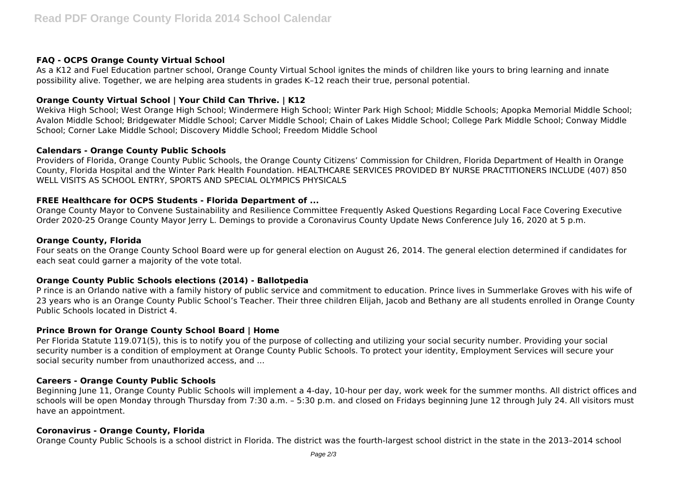## **FAQ - OCPS Orange County Virtual School**

As a K12 and Fuel Education partner school, Orange County Virtual School ignites the minds of children like yours to bring learning and innate possibility alive. Together, we are helping area students in grades K–12 reach their true, personal potential.

# **Orange County Virtual School | Your Child Can Thrive. | K12**

Wekiva High School; West Orange High School; Windermere High School; Winter Park High School; Middle Schools; Apopka Memorial Middle School; Avalon Middle School; Bridgewater Middle School; Carver Middle School; Chain of Lakes Middle School; College Park Middle School; Conway Middle School; Corner Lake Middle School; Discovery Middle School; Freedom Middle School

## **Calendars - Orange County Public Schools**

Providers of Florida, Orange County Public Schools, the Orange County Citizens' Commission for Children, Florida Department of Health in Orange County, Florida Hospital and the Winter Park Health Foundation. HEALTHCARE SERVICES PROVIDED BY NURSE PRACTITIONERS INCLUDE (407) 850 WELL VISITS AS SCHOOL ENTRY, SPORTS AND SPECIAL OLYMPICS PHYSICALS

## **FREE Healthcare for OCPS Students - Florida Department of ...**

Orange County Mayor to Convene Sustainability and Resilience Committee Frequently Asked Questions Regarding Local Face Covering Executive Order 2020-25 Orange County Mayor Jerry L. Demings to provide a Coronavirus County Update News Conference July 16, 2020 at 5 p.m.

#### **Orange County, Florida**

Four seats on the Orange County School Board were up for general election on August 26, 2014. The general election determined if candidates for each seat could garner a majority of the vote total.

## **Orange County Public Schools elections (2014) - Ballotpedia**

P rince is an Orlando native with a family history of public service and commitment to education. Prince lives in Summerlake Groves with his wife of 23 years who is an Orange County Public School's Teacher. Their three children Elijah, Jacob and Bethany are all students enrolled in Orange County Public Schools located in District 4.

#### **Prince Brown for Orange County School Board | Home**

Per Florida Statute 119.071(5), this is to notify you of the purpose of collecting and utilizing your social security number. Providing your social security number is a condition of employment at Orange County Public Schools. To protect your identity, Employment Services will secure your social security number from unauthorized access, and ...

#### **Careers - Orange County Public Schools**

Beginning June 11, Orange County Public Schools will implement a 4-day, 10-hour per day, work week for the summer months. All district offices and schools will be open Monday through Thursday from 7:30 a.m. – 5:30 p.m. and closed on Fridays beginning June 12 through July 24. All visitors must have an appointment.

#### **Coronavirus - Orange County, Florida**

Orange County Public Schools is a school district in Florida. The district was the fourth-largest school district in the state in the 2013–2014 school